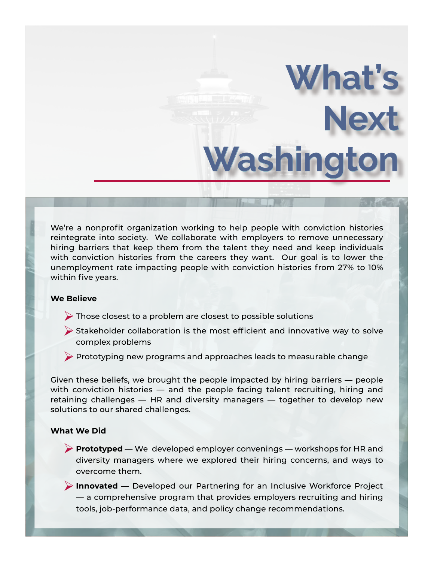We're a nonprofit organization working to help people with conviction histories reintegrate into society. We collaborate with employers to remove unnecessary hiring barriers that keep them from the talent they need and keep individuals with conviction histories from the careers they want. Our goal is to lower the unemployment rate impacting people with conviction histories from 27% to 10% within five years.

**What's** 

**Washington**

**Next** 

## **We Believe**

- ØThose closest to a problem are closest to possible solutions
- $\triangleright$  Stakeholder collaboration is the most efficient and innovative way to solve complex problems
- $\triangleright$  Prototyping new programs and approaches leads to measurable change

Given these beliefs, we brought the people impacted by hiring barriers — people with conviction histories — and the people facing talent recruiting, hiring and retaining challenges — HR and diversity managers — together to develop new solutions to our shared challenges.

## **What We Did**

Ø**Prototyped** — We developed employer convenings — workshops for HR and diversity managers where we explored their hiring concerns, and ways to overcome them.

Ø**Innovated** — Developed our Partnering for an Inclusive Workforce Project — a comprehensive program that provides employers recruiting and hiring tools, job-performance data, and policy change recommendations.